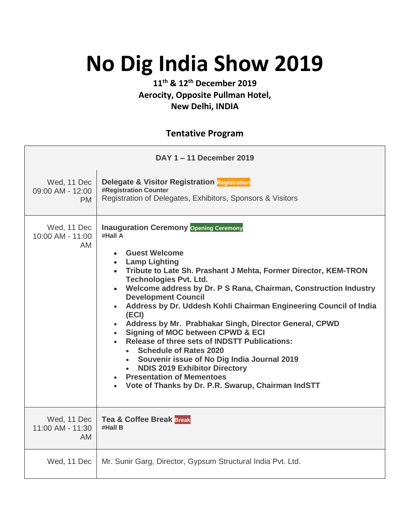## **No Dig India Show 2019**

## **11th & 12th December 2019 Aerocity, Opposite Pullman Hotel, New Delhi, INDIA**

## **Tentative Program**

| DAY 1-11 December 2019                       |                                                                                                                                                                                                                                                                                                                                                                                                                                                                                                                                                                                                                                                                                                                                                               |
|----------------------------------------------|---------------------------------------------------------------------------------------------------------------------------------------------------------------------------------------------------------------------------------------------------------------------------------------------------------------------------------------------------------------------------------------------------------------------------------------------------------------------------------------------------------------------------------------------------------------------------------------------------------------------------------------------------------------------------------------------------------------------------------------------------------------|
| Wed, 11 Dec<br>09:00 AM - 12:00<br>PM.       | <b>Delegate &amp; Visitor Registration Registration</b><br><b>#Registration Counter</b><br>Registration of Delegates, Exhibitors, Sponsors & Visitors                                                                                                                                                                                                                                                                                                                                                                                                                                                                                                                                                                                                         |
| Wed, 11 Dec<br>10:00 AM - 11:00<br>AM.       | <b>Inauguration Ceremony Opening Ceremony</b><br>#Hall A<br>• Guest Welcome<br>• Lamp Lighting<br>• Tribute to Late Sh. Prashant J Mehta, Former Director, KEM-TRON<br><b>Technologies Pvt. Ltd.</b><br>• Welcome address by Dr. P S Rana, Chairman, Construction Industry<br><b>Development Council</b><br>• Address by Dr. Uddesh Kohli Chairman Engineering Council of India<br>(ECI)<br>• Address by Mr. Prabhakar Singh, Director General, CPWD<br>• Signing of MOC between CPWD & ECI<br>• Release of three sets of INDSTT Publications:<br>• Schedule of Rates 2020<br>• Souvenir issue of No Dig India Journal 2019<br><b>NDIS 2019 Exhibitor Directory</b><br><b>Presentation of Mementoes</b><br>Vote of Thanks by Dr. P.R. Swarup, Chairman IndSTT |
| Wed, 11 Dec<br>11:00 AM - 11:30<br><b>AM</b> | <b>Tea &amp; Coffee Break Break</b><br>#Hall B                                                                                                                                                                                                                                                                                                                                                                                                                                                                                                                                                                                                                                                                                                                |
| Wed, 11 Dec                                  | Mr. Sunir Garg, Director, Gypsum Structural India Pvt. Ltd.                                                                                                                                                                                                                                                                                                                                                                                                                                                                                                                                                                                                                                                                                                   |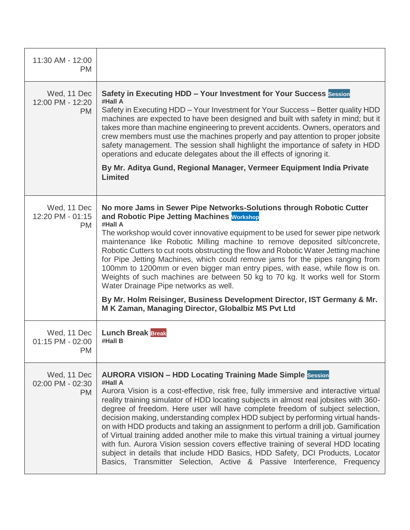| 11:30 AM - 12:00<br><b>PM</b>                |                                                                                                                                                                                                                                                                                                                                                                                                                                                                                                                                                                                                                                                                                                                                                                                                                                                                    |
|----------------------------------------------|--------------------------------------------------------------------------------------------------------------------------------------------------------------------------------------------------------------------------------------------------------------------------------------------------------------------------------------------------------------------------------------------------------------------------------------------------------------------------------------------------------------------------------------------------------------------------------------------------------------------------------------------------------------------------------------------------------------------------------------------------------------------------------------------------------------------------------------------------------------------|
| Wed, 11 Dec<br>12:00 PM - 12:20<br><b>PM</b> | Safety in Executing HDD - Your Investment for Your Success Session<br>#Hall A<br>Safety in Executing HDD - Your Investment for Your Success - Better quality HDD<br>machines are expected to have been designed and built with safety in mind; but it<br>takes more than machine engineering to prevent accidents. Owners, operators and<br>crew members must use the machines properly and pay attention to proper jobsite<br>safety management. The session shall highlight the importance of safety in HDD<br>operations and educate delegates about the ill effects of ignoring it.<br>By Mr. Aditya Gund, Regional Manager, Vermeer Equipment India Private<br><b>Limited</b>                                                                                                                                                                                 |
| Wed, 11 Dec<br>12:20 PM - 01:15<br><b>PM</b> | No more Jams in Sewer Pipe Networks-Solutions through Robotic Cutter<br>and Robotic Pipe Jetting Machines Workshop<br>#Hall A<br>The workshop would cover innovative equipment to be used for sewer pipe network<br>maintenance like Robotic Milling machine to remove deposited silt/concrete,<br>Robotic Cutters to cut roots obstructing the flow and Robotic Water Jetting machine<br>for Pipe Jetting Machines, which could remove jams for the pipes ranging from<br>100mm to 1200mm or even bigger man entry pipes, with ease, while flow is on.<br>Weights of such machines are between 50 kg to 70 kg. It works well for Storm<br>Water Drainage Pipe networks as well.<br>By Mr. Holm Reisinger, Business Development Director, IST Germany & Mr.<br>M K Zaman, Managing Director, Globalbiz MS Pvt Ltd                                                  |
| Wed, 11 Dec<br>01:15 PM - 02:00<br><b>PM</b> | <b>Lunch Break Break</b><br>#Hall B                                                                                                                                                                                                                                                                                                                                                                                                                                                                                                                                                                                                                                                                                                                                                                                                                                |
| Wed, 11 Dec<br>02:00 PM - 02:30<br><b>PM</b> | <b>AURORA VISION - HDD Locating Training Made Simple Session</b><br>#Hall A<br>Aurora Vision is a cost-effective, risk free, fully immersive and interactive virtual<br>reality training simulator of HDD locating subjects in almost real jobsites with 360-<br>degree of freedom. Here user will have complete freedom of subject selection,<br>decision making, understanding complex HDD subject by performing virtual hands-<br>on with HDD products and taking an assignment to perform a drill job. Gamification<br>of Virtual training added another mile to make this virtual training a virtual journey<br>with fun. Aurora Vision session covers effective training of several HDD locating<br>subject in details that include HDD Basics, HDD Safety, DCI Products, Locator<br>Basics, Transmitter Selection, Active & Passive Interference, Frequency |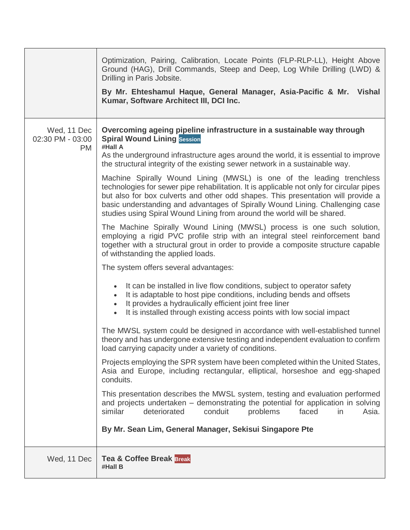|                                       | Optimization, Pairing, Calibration, Locate Points (FLP-RLP-LL), Height Above<br>Ground (HAG), Drill Commands, Steep and Deep, Log While Drilling (LWD) &<br>Drilling in Paris Jobsite.<br>By Mr. Ehteshamul Haque, General Manager, Asia-Pacific & Mr. Vishal<br>Kumar, Software Architect III, DCI Inc.                                                                                                                                                                                                                                                                                                                                                                                                                                                                                                                                                                                                                                                                                                                                                                                                                                                                                                                                                                                                                                                                                                                                                                                                                                                                                                                                                                                                                                                                                                                                                                                                                                                                                                                                                                                                |
|---------------------------------------|---------------------------------------------------------------------------------------------------------------------------------------------------------------------------------------------------------------------------------------------------------------------------------------------------------------------------------------------------------------------------------------------------------------------------------------------------------------------------------------------------------------------------------------------------------------------------------------------------------------------------------------------------------------------------------------------------------------------------------------------------------------------------------------------------------------------------------------------------------------------------------------------------------------------------------------------------------------------------------------------------------------------------------------------------------------------------------------------------------------------------------------------------------------------------------------------------------------------------------------------------------------------------------------------------------------------------------------------------------------------------------------------------------------------------------------------------------------------------------------------------------------------------------------------------------------------------------------------------------------------------------------------------------------------------------------------------------------------------------------------------------------------------------------------------------------------------------------------------------------------------------------------------------------------------------------------------------------------------------------------------------------------------------------------------------------------------------------------------------|
| Wed, 11 Dec<br>02:30 PM - 03:00<br>PM | Overcoming ageing pipeline infrastructure in a sustainable way through<br><b>Spiral Wound Lining Session</b><br>#Hall A<br>As the underground infrastructure ages around the world, it is essential to improve<br>the structural integrity of the existing sewer network in a sustainable way.<br>Machine Spirally Wound Lining (MWSL) is one of the leading trenchless<br>technologies for sewer pipe rehabilitation. It is applicable not only for circular pipes<br>but also for box culverts and other odd shapes. This presentation will provide a<br>basic understanding and advantages of Spirally Wound Lining. Challenging case<br>studies using Spiral Wound Lining from around the world will be shared.<br>The Machine Spirally Wound Lining (MWSL) process is one such solution,<br>employing a rigid PVC profile strip with an integral steel reinforcement band<br>together with a structural grout in order to provide a composite structure capable<br>of withstanding the applied loads.<br>The system offers several advantages:<br>It can be installed in live flow conditions, subject to operator safety<br>It is adaptable to host pipe conditions, including bends and offsets<br>$\bullet$<br>It provides a hydraulically efficient joint free liner<br>$\bullet$<br>It is installed through existing access points with low social impact<br>$\bullet$<br>The MWSL system could be designed in accordance with well-established tunnel<br>theory and has undergone extensive testing and independent evaluation to confirm<br>load carrying capacity under a variety of conditions.<br>Projects employing the SPR system have been completed within the United States,<br>Asia and Europe, including rectangular, elliptical, horseshoe and egg-shaped<br>conduits.<br>This presentation describes the MWSL system, testing and evaluation performed<br>and projects undertaken – demonstrating the potential for application in solving<br>similar<br>deteriorated<br>problems<br>faced<br>conduit<br>in<br>Asia.<br>By Mr. Sean Lim, General Manager, Sekisui Singapore Pte |
| Wed, 11 Dec                           | <b>Tea &amp; Coffee Break Break</b><br>#Hall B                                                                                                                                                                                                                                                                                                                                                                                                                                                                                                                                                                                                                                                                                                                                                                                                                                                                                                                                                                                                                                                                                                                                                                                                                                                                                                                                                                                                                                                                                                                                                                                                                                                                                                                                                                                                                                                                                                                                                                                                                                                          |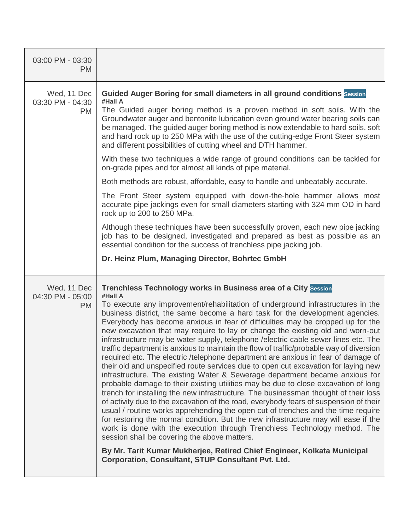| 03:00 PM - 03:30<br><b>PM</b>                |                                                                                                                                                                                                                                                                                                                                                                                                                                                                                                                                                                                                                                                                                                                                                                                                                                                                                                                                                                                                                                                                                                                                                                                                                                                                                                                                                                                                                                                                                                                                                                                    |
|----------------------------------------------|------------------------------------------------------------------------------------------------------------------------------------------------------------------------------------------------------------------------------------------------------------------------------------------------------------------------------------------------------------------------------------------------------------------------------------------------------------------------------------------------------------------------------------------------------------------------------------------------------------------------------------------------------------------------------------------------------------------------------------------------------------------------------------------------------------------------------------------------------------------------------------------------------------------------------------------------------------------------------------------------------------------------------------------------------------------------------------------------------------------------------------------------------------------------------------------------------------------------------------------------------------------------------------------------------------------------------------------------------------------------------------------------------------------------------------------------------------------------------------------------------------------------------------------------------------------------------------|
| Wed, 11 Dec<br>03:30 PM - 04:30<br>PM        | Guided Auger Boring for small diameters in all ground conditions Session<br>#Hall A<br>The Guided auger boring method is a proven method in soft soils. With the<br>Groundwater auger and bentonite lubrication even ground water bearing soils can<br>be managed. The guided auger boring method is now extendable to hard soils, soft<br>and hard rock up to 250 MPa with the use of the cutting-edge Front Steer system<br>and different possibilities of cutting wheel and DTH hammer.<br>With these two techniques a wide range of ground conditions can be tackled for<br>on-grade pipes and for almost all kinds of pipe material.<br>Both methods are robust, affordable, easy to handle and unbeatably accurate.<br>The Front Steer system equipped with down-the-hole hammer allows most<br>accurate pipe jackings even for small diameters starting with 324 mm OD in hard<br>rock up to 200 to 250 MPa.<br>Although these techniques have been successfully proven, each new pipe jacking<br>job has to be designed, investigated and prepared as best as possible as an<br>essential condition for the success of trenchless pipe jacking job.                                                                                                                                                                                                                                                                                                                                                                                                                        |
|                                              | Dr. Heinz Plum, Managing Director, Bohrtec GmbH                                                                                                                                                                                                                                                                                                                                                                                                                                                                                                                                                                                                                                                                                                                                                                                                                                                                                                                                                                                                                                                                                                                                                                                                                                                                                                                                                                                                                                                                                                                                    |
| Wed, 11 Dec<br>04:30 PM - 05:00<br><b>PM</b> | Trenchless Technology works in Business area of a City Session<br>#Hall A<br>To execute any improvement/rehabilitation of underground infrastructures in the<br>business district, the same become a hard task for the development agencies.<br>Everybody has become anxious in fear of difficulties may be cropped up for the<br>new excavation that may require to lay or change the existing old and worn-out<br>infrastructure may be water supply, telephone / electric cable sewer lines etc. The<br>traffic department is anxious to maintain the flow of traffic/probable way of diversion<br>required etc. The electric /telephone department are anxious in fear of damage of<br>their old and unspecified route services due to open cut excavation for laying new<br>infrastructure. The existing Water & Sewerage department became anxious for<br>probable damage to their existing utilities may be due to close excavation of long<br>trench for installing the new infrastructure. The businessman thought of their loss<br>of activity due to the excavation of the road, everybody fears of suspension of their<br>usual / routine works apprehending the open cut of trenches and the time require<br>for restoring the normal condition. But the new infrastructure may will ease if the<br>work is done with the execution through Trenchless Technology method. The<br>session shall be covering the above matters.<br>By Mr. Tarit Kumar Mukherjee, Retired Chief Engineer, Kolkata Municipal<br><b>Corporation, Consultant, STUP Consultant Pvt. Ltd.</b> |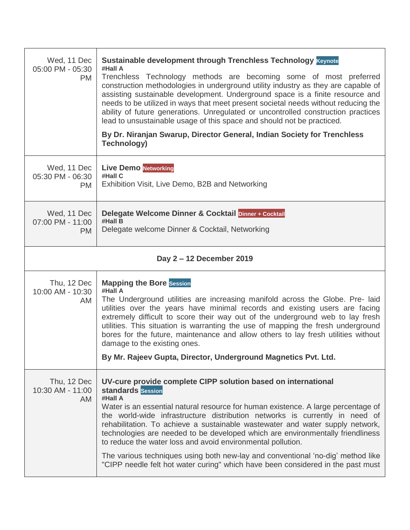| Wed, 11 Dec<br>05:00 PM - 05:30<br><b>PM</b> | Sustainable development through Trenchless Technology Keynote<br>#Hall A<br>Trenchless Technology methods are becoming some of most preferred<br>construction methodologies in underground utility industry as they are capable of<br>assisting sustainable development. Underground space is a finite resource and<br>needs to be utilized in ways that meet present societal needs without reducing the<br>ability of future generations. Unregulated or uncontrolled construction practices<br>lead to unsustainable usage of this space and should not be practiced.<br>By Dr. Niranjan Swarup, Director General, Indian Society for Trenchless<br><b>Technology)</b>        |
|----------------------------------------------|----------------------------------------------------------------------------------------------------------------------------------------------------------------------------------------------------------------------------------------------------------------------------------------------------------------------------------------------------------------------------------------------------------------------------------------------------------------------------------------------------------------------------------------------------------------------------------------------------------------------------------------------------------------------------------|
| Wed, 11 Dec<br>05:30 PM - 06:30<br><b>PM</b> | <b>Live Demo Networking</b><br>#Hall C<br>Exhibition Visit, Live Demo, B2B and Networking                                                                                                                                                                                                                                                                                                                                                                                                                                                                                                                                                                                        |
| Wed, 11 Dec<br>07:00 PM - 11:00<br><b>PM</b> | Delegate Welcome Dinner & Cocktail Dinner + Cocktail<br>#Hall B<br>Delegate welcome Dinner & Cocktail, Networking                                                                                                                                                                                                                                                                                                                                                                                                                                                                                                                                                                |
|                                              | Day 2-12 December 2019                                                                                                                                                                                                                                                                                                                                                                                                                                                                                                                                                                                                                                                           |
| Thu, 12 Dec<br>10:00 AM - 10:30<br>AM        | <b>Mapping the Bore Session</b><br>#Hall A<br>The Underground utilities are increasing manifold across the Globe. Pre- laid<br>utilities over the years have minimal records and existing users are facing<br>extremely difficult to score their way out of the underground web to lay fresh<br>utilities. This situation is warranting the use of mapping the fresh underground<br>bores for the future, maintenance and allow others to lay fresh utilities without<br>damage to the existing ones.<br>By Mr. Rajeev Gupta, Director, Underground Magnetics Pvt. Ltd.                                                                                                          |
| Thu, 12 Dec<br>10:30 AM - 11:00<br>AM        | UV-cure provide complete CIPP solution based on international<br><b>standards</b> Session<br>#Hall A<br>Water is an essential natural resource for human existence. A large percentage of<br>the world-wide infrastructure distribution networks is currently in need of<br>rehabilitation. To achieve a sustainable wastewater and water supply network,<br>technologies are needed to be developed which are environmentally friendliness<br>to reduce the water loss and avoid environmental pollution.<br>The various techniques using both new-lay and conventional 'no-dig' method like<br>"CIPP needle felt hot water curing" which have been considered in the past must |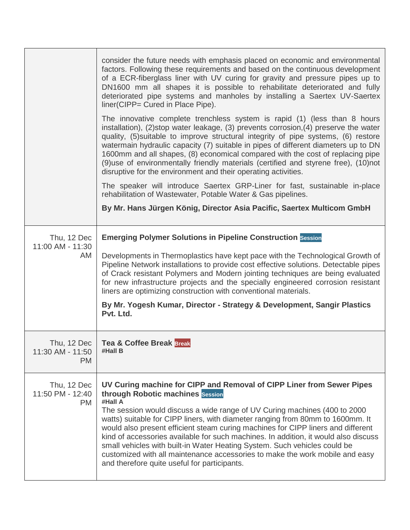|                                              | consider the future needs with emphasis placed on economic and environmental<br>factors. Following these requirements and based on the continuous development<br>of a ECR-fiberglass liner with UV curing for gravity and pressure pipes up to<br>DN1600 mm all shapes it is possible to rehabilitate deteriorated and fully<br>deteriorated pipe systems and manholes by installing a Saertex UV-Saertex<br>liner(CIPP= Cured in Place Pipe).<br>The innovative complete trenchless system is rapid (1) (less than 8 hours<br>installation), (2)stop water leakage, (3) prevents corrosion, (4) preserve the water<br>quality, (5) suitable to improve structural integrity of pipe systems, (6) restore<br>watermain hydraulic capacity (7) suitable in pipes of different diameters up to DN<br>1600mm and all shapes, (8) economical compared with the cost of replacing pipe<br>(9) use of environmentally friendly materials (certified and styrene free), (10) not |
|----------------------------------------------|---------------------------------------------------------------------------------------------------------------------------------------------------------------------------------------------------------------------------------------------------------------------------------------------------------------------------------------------------------------------------------------------------------------------------------------------------------------------------------------------------------------------------------------------------------------------------------------------------------------------------------------------------------------------------------------------------------------------------------------------------------------------------------------------------------------------------------------------------------------------------------------------------------------------------------------------------------------------------|
|                                              | disruptive for the environment and their operating activities.<br>The speaker will introduce Saertex GRP-Liner for fast, sustainable in-place<br>rehabilitation of Wastewater, Potable Water & Gas pipelines.                                                                                                                                                                                                                                                                                                                                                                                                                                                                                                                                                                                                                                                                                                                                                             |
|                                              | By Mr. Hans Jürgen König, Director Asia Pacific, Saertex Multicom GmbH                                                                                                                                                                                                                                                                                                                                                                                                                                                                                                                                                                                                                                                                                                                                                                                                                                                                                                    |
| Thu, 12 Dec<br>11:00 AM - 11:30<br>AM        | <b>Emerging Polymer Solutions in Pipeline Construction Session</b><br>Developments in Thermoplastics have kept pace with the Technological Growth of<br>Pipeline Network installations to provide cost effective solutions. Detectable pipes<br>of Crack resistant Polymers and Modern jointing techniques are being evaluated<br>for new infrastructure projects and the specially engineered corrosion resistant<br>liners are optimizing construction with conventional materials.<br>By Mr. Yogesh Kumar, Director - Strategy & Development, Sangir Plastics<br>Pvt. Ltd.                                                                                                                                                                                                                                                                                                                                                                                             |
| Thu, 12 Dec<br>11:30 AM - 11:50<br><b>PM</b> | <b>Tea &amp; Coffee Break Break</b><br>#Hall B                                                                                                                                                                                                                                                                                                                                                                                                                                                                                                                                                                                                                                                                                                                                                                                                                                                                                                                            |
| Thu, 12 Dec<br>11:50 PM - 12:40<br><b>PM</b> | UV Curing machine for CIPP and Removal of CIPP Liner from Sewer Pipes<br>through Robotic machines Session<br>#Hall A<br>The session would discuss a wide range of UV Curing machines (400 to 2000)<br>watts) suitable for CIPP liners, with diameter ranging from 80mm to 1600mm. It<br>would also present efficient steam curing machines for CIPP liners and different<br>kind of accessories available for such machines. In addition, it would also discuss<br>small vehicles with built-in Water Heating System. Such vehicles could be<br>customized with all maintenance accessories to make the work mobile and easy<br>and therefore quite useful for participants.                                                                                                                                                                                                                                                                                              |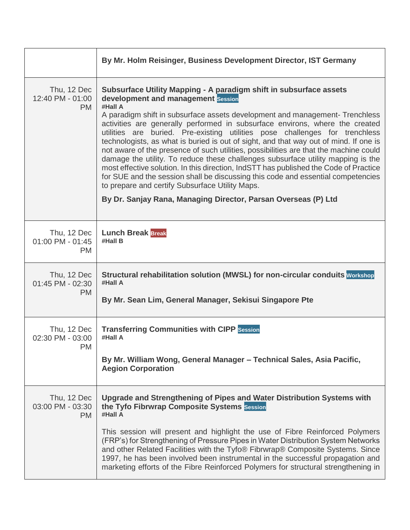|                                              | By Mr. Holm Reisinger, Business Development Director, IST Germany                                                                                                                                                                                                                                                                                                                                                                                                                                                                                                                                                                                                                                                                                                                                                                                                                                                                         |
|----------------------------------------------|-------------------------------------------------------------------------------------------------------------------------------------------------------------------------------------------------------------------------------------------------------------------------------------------------------------------------------------------------------------------------------------------------------------------------------------------------------------------------------------------------------------------------------------------------------------------------------------------------------------------------------------------------------------------------------------------------------------------------------------------------------------------------------------------------------------------------------------------------------------------------------------------------------------------------------------------|
| Thu, 12 Dec<br>12:40 PM - 01:00<br><b>PM</b> | Subsurface Utility Mapping - A paradigm shift in subsurface assets<br>development and management Session<br>#Hall A<br>A paradigm shift in subsurface assets development and management-Trenchless<br>activities are generally performed in subsurface environs, where the created<br>utilities are buried. Pre-existing utilities pose challenges for trenchless<br>technologists, as what is buried is out of sight, and that way out of mind. If one is<br>not aware of the presence of such utilities, possibilities are that the machine could<br>damage the utility. To reduce these challenges subsurface utility mapping is the<br>most effective solution. In this direction, IndSTT has published the Code of Practice<br>for SUE and the session shall be discussing this code and essential competencies<br>to prepare and certify Subsurface Utility Maps.<br>By Dr. Sanjay Rana, Managing Director, Parsan Overseas (P) Ltd |
| Thu, 12 Dec<br>01:00 PM - 01:45<br><b>PM</b> | <b>Lunch Break Break</b><br>#Hall B                                                                                                                                                                                                                                                                                                                                                                                                                                                                                                                                                                                                                                                                                                                                                                                                                                                                                                       |
| Thu, 12 Dec<br>01:45 PM - 02:30<br><b>PM</b> | Structural rehabilitation solution (MWSL) for non-circular conduits Workshop<br>#Hall A<br>By Mr. Sean Lim, General Manager, Sekisui Singapore Pte                                                                                                                                                                                                                                                                                                                                                                                                                                                                                                                                                                                                                                                                                                                                                                                        |
| Thu, 12 Dec<br>02:30 PM - 03:00<br><b>PM</b> | <b>Transferring Communities with CIPP Session</b><br>#Hall A<br>By Mr. William Wong, General Manager - Technical Sales, Asia Pacific,<br><b>Aegion Corporation</b>                                                                                                                                                                                                                                                                                                                                                                                                                                                                                                                                                                                                                                                                                                                                                                        |
| Thu, 12 Dec<br>03:00 PM - 03:30<br><b>PM</b> | Upgrade and Strengthening of Pipes and Water Distribution Systems with<br>the Tyfo Fibrwrap Composite Systems Session<br>#Hall A<br>This session will present and highlight the use of Fibre Reinforced Polymers<br>(FRP's) for Strengthening of Pressure Pipes in Water Distribution System Networks<br>and other Related Facilities with the Tyfo® Fibrwrap® Composite Systems. Since<br>1997, he has been involved been instrumental in the successful propagation and<br>marketing efforts of the Fibre Reinforced Polymers for structural strengthening in                                                                                                                                                                                                                                                                                                                                                                           |